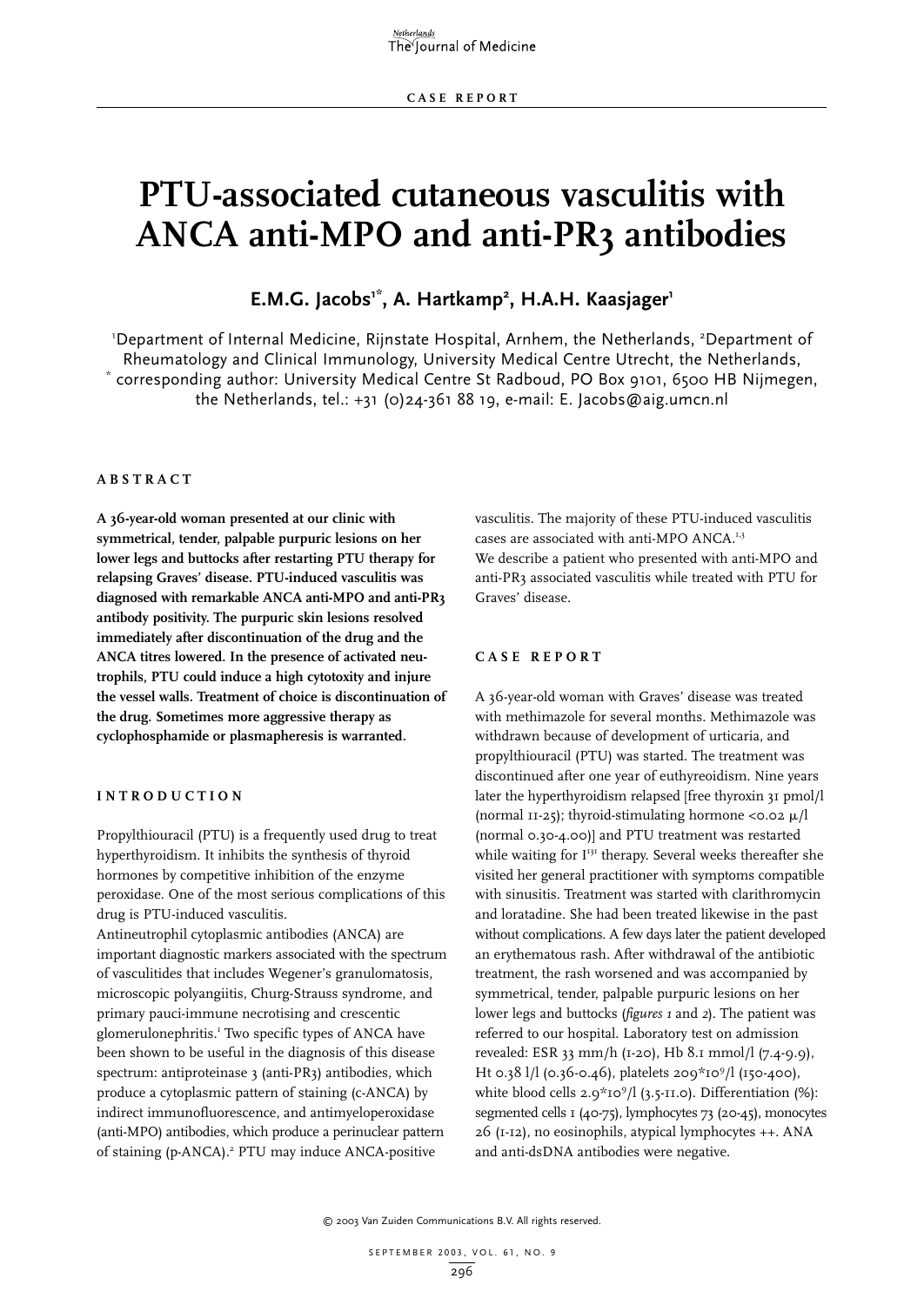# **PTU-associated cutaneous vasculitis with ANCA anti-MPO and anti-PR3 antibodies**

## E.M.G. Jacobs<sup>1\*</sup>, A. Hartkamp<sup>2</sup>, H.A.H. Kaasjager<sup>1</sup>

'Department of Internal Medicine, Rijnstate Hospital, Arnhem, the Netherlands, <sup>2</sup>Department of Rheumatology and Clinical Immunology, University Medical Centre Utrecht, the Netherlands, torresponding author: University Medical Centre St Radboud, PO Box 9101, 6500 HB Nijmegen, the Netherlands, tel.: +31 (0)24-361 88 19, e-mail: E. Jacobs@aig.umcn.nl

#### **ABSTRACT**

**A 36-year-old woman presented at our clinic with symmetrical, tender, palpable purpuric lesions on her lower legs and buttocks after restarting PTU therapy for relapsing Graves' disease. PTU-induced vasculitis was diagnosed with remarkable ANCA anti-MPO and anti-PR3 antibody positivity. The purpuric skin lesions resolved immediately after discontinuation of the drug and the ANCA titres lowered. In the presence of activated neutrophils, PTU could induce a high cytotoxity and injure the vessel walls. Treatment of choice is discontinuation of the drug. Sometimes more aggressive therapy as cyclophosphamide or plasmapheresis is warranted.**

#### **INTRODUCTION**

Propylthiouracil (PTU) is a frequently used drug to treat hyperthyroidism. It inhibits the synthesis of thyroid hormones by competitive inhibition of the enzyme peroxidase. One of the most serious complications of this drug is PTU-induced vasculitis. Antineutrophil cytoplasmic antibodies (ANCA) are

important diagnostic markers associated with the spectrum of vasculitides that includes Wegener's granulomatosis, microscopic polyangiitis, Churg-Strauss syndrome, and primary pauci-immune necrotising and crescentic glomerulonephritis.<sup>1</sup> Two specific types of ANCA have been shown to be useful in the diagnosis of this disease spectrum: antiproteinase 3 (anti-PR3) antibodies, which produce a cytoplasmic pattern of staining (c-ANCA) by indirect immunofluorescence, and antimyeloperoxidase (anti-MPO) antibodies, which produce a perinuclear pattern of staining (p-ANCA).<sup>2</sup> PTU may induce ANCA-positive

vasculitis. The majority of these PTU-induced vasculitis cases are associated with anti-MPO ANCA.<sup>1,3</sup> We describe a patient who presented with anti-MPO and anti-PR3 associated vasculitis while treated with PTU for Graves' disease.

#### **CASE REPORT**

A 36-year-old woman with Graves' disease was treated with methimazole for several months. Methimazole was withdrawn because of development of urticaria, and propylthiouracil (PTU) was started. The treatment was discontinued after one year of euthyreoidism. Nine years later the hyperthyroidism relapsed [free thyroxin 31 pmol/l (normal 11-25); thyroid-stimulating hormone <0.02  $\mu$ /l (normal 0.30-4.00)] and PTU treatment was restarted while waiting for I<sup>131</sup> therapy. Several weeks thereafter she visited her general practitioner with symptoms compatible with sinusitis. Treatment was started with clarithromycin and loratadine. She had been treated likewise in the past without complications. A few days later the patient developed an erythematous rash. After withdrawal of the antibiotic treatment, the rash worsened and was accompanied by symmetrical, tender, palpable purpuric lesions on her lower legs and buttocks (*figures 1* and *2*). The patient was referred to our hospital. Laboratory test on admission revealed: ESR 33 mm/h (1-20), Hb 8.1 mmol/l (7.4-9.9), Ht 0.38 l/l (0.36-0.46), platelets 209\*109 /l (150-400), white blood cells 2.9\*10<sup>9</sup>/l (3.5-11.0). Differentiation (%): segmented cells 1 (40-75), lymphocytes 73 (20-45), monocytes 26 (1-12), no eosinophils, atypical lymphocytes ++. ANA and anti-dsDNA antibodies were negative.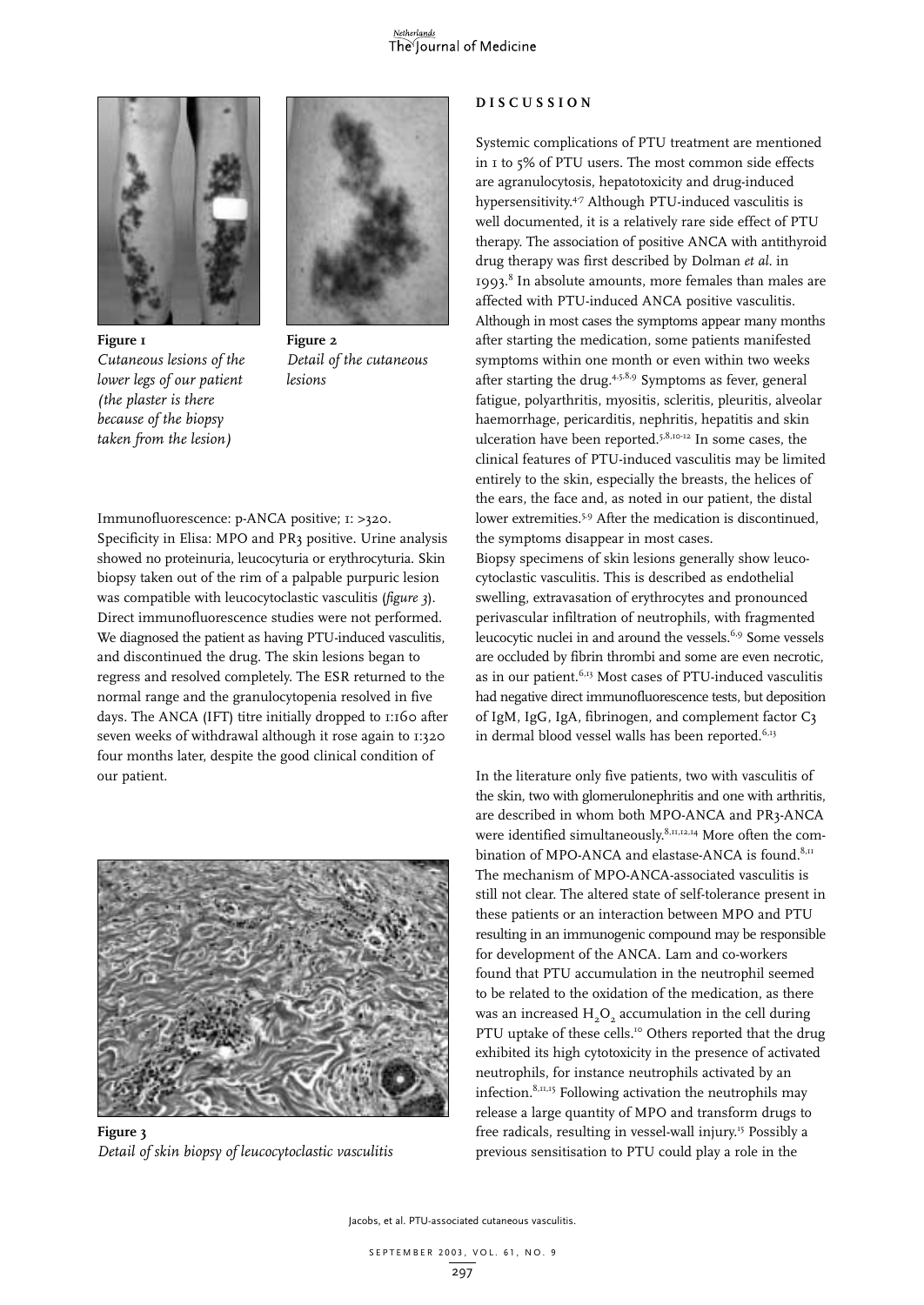



**Figure 1** *Cutaneous lesions of the lower legs of our patient (the plaster is there because of the biopsy taken from the lesion)*

**Figure 2** *Detail of the cutaneous lesions*

Immunofluorescence: p-ANCA positive; 1: >320.

Specificity in Elisa: MPO and PR3 positive. Urine analysis showed no proteinuria, leucocyturia or erythrocyturia. Skin biopsy taken out of the rim of a palpable purpuric lesion was compatible with leucocytoclastic vasculitis (*figure 3*). Direct immunofluorescence studies were not performed. We diagnosed the patient as having PTU-induced vasculitis, and discontinued the drug. The skin lesions began to regress and resolved completely. The ESR returned to the normal range and the granulocytopenia resolved in five days. The ANCA (IFT) titre initially dropped to 1:160 after seven weeks of withdrawal although it rose again to 1:320 four months later, despite the good clinical condition of our patient.



**Figure 3** *Detail of skin biopsy of leucocytoclastic vasculitis*

#### **DISCUSSION**

Systemic complications of PTU treatment are mentioned in 1 to 5% of PTU users. The most common side effects are agranulocytosis, hepatotoxicity and drug-induced hypersensitivity.4-7 Although PTU-induced vasculitis is well documented, it is a relatively rare side effect of PTU therapy. The association of positive ANCA with antithyroid drug therapy was first described by Dolman *et al*. in 1993.8 In absolute amounts, more females than males are affected with PTU-induced ANCA positive vasculitis. Although in most cases the symptoms appear many months after starting the medication, some patients manifested symptoms within one month or even within two weeks after starting the drug. $4.5,8.9$  Symptoms as fever, general fatigue, polyarthritis, myositis, scleritis, pleuritis, alveolar haemorrhage, pericarditis, nephritis, hepatitis and skin ulceration have been reported.5,8,10-12 In some cases, the clinical features of PTU-induced vasculitis may be limited entirely to the skin, especially the breasts, the helices of the ears, the face and, as noted in our patient, the distal lower extremities.<sup>5,9</sup> After the medication is discontinued, the symptoms disappear in most cases. Biopsy specimens of skin lesions generally show leucocytoclastic vasculitis. This is described as endothelial swelling, extravasation of erythrocytes and pronounced perivascular infiltration of neutrophils, with fragmented leucocytic nuclei in and around the vessels.<sup>6,9</sup> Some vessels are occluded by fibrin thrombi and some are even necrotic, as in our patient.<sup>6,13</sup> Most cases of PTU-induced vasculitis had negative direct immunofluorescence tests, but deposition of IgM, IgG, IgA, fibrinogen, and complement factor C3 in dermal blood vessel walls has been reported.<sup>6,13</sup>

In the literature only five patients, two with vasculitis of the skin, two with glomerulonephritis and one with arthritis, are described in whom both MPO-ANCA and PR3-ANCA were identified simultaneously.<sup>8,11,12,14</sup> More often the combination of MPO-ANCA and elastase-ANCA is found. $8,11$ The mechanism of MPO-ANCA-associated vasculitis is still not clear. The altered state of self-tolerance present in these patients or an interaction between MPO and PTU resulting in an immunogenic compound may be responsible for development of the ANCA. Lam and co-workers found that PTU accumulation in the neutrophil seemed to be related to the oxidation of the medication, as there was an increased  $H<sub>2</sub>O<sub>2</sub>$  accumulation in the cell during PTU uptake of these cells.<sup>10</sup> Others reported that the drug exhibited its high cytotoxicity in the presence of activated neutrophils, for instance neutrophils activated by an infection.8,11,15 Following activation the neutrophils may release a large quantity of MPO and transform drugs to free radicals, resulting in vessel-wall injury.15 Possibly a previous sensitisation to PTU could play a role in the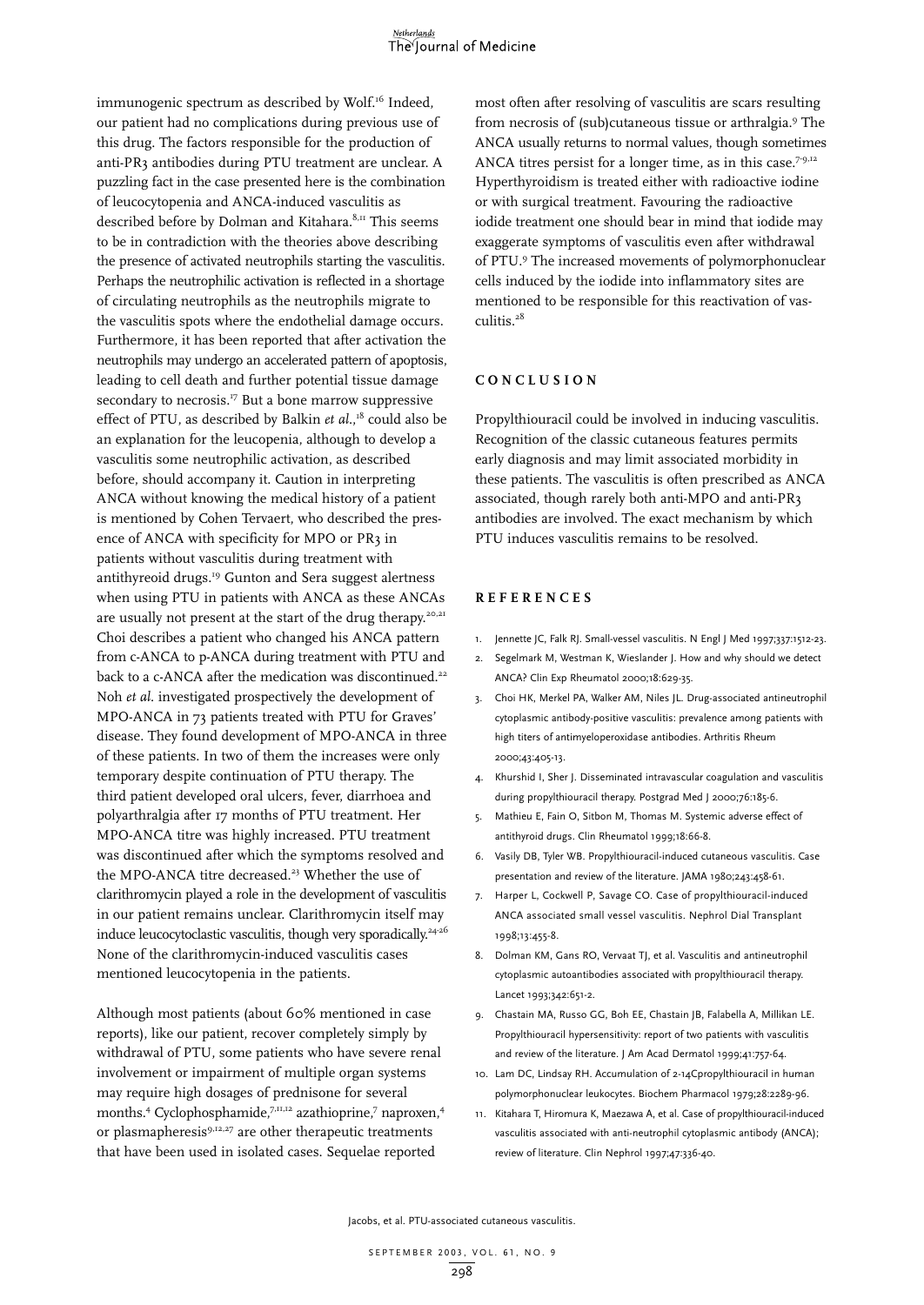immunogenic spectrum as described by Wolf.<sup>16</sup> Indeed, our patient had no complications during previous use of this drug. The factors responsible for the production of anti-PR3 antibodies during PTU treatment are unclear. A puzzling fact in the case presented here is the combination of leucocytopenia and ANCA-induced vasculitis as described before by Dolman and Kitahara.<sup>8,11</sup> This seems to be in contradiction with the theories above describing the presence of activated neutrophils starting the vasculitis. Perhaps the neutrophilic activation is reflected in a shortage of circulating neutrophils as the neutrophils migrate to the vasculitis spots where the endothelial damage occurs. Furthermore, it has been reported that after activation the neutrophils may undergo an accelerated pattern of apoptosis, leading to cell death and further potential tissue damage secondary to necrosis.<sup>17</sup> But a bone marrow suppressive effect of PTU, as described by Balkin *et al.*,<sup>18</sup> could also be an explanation for the leucopenia, although to develop a vasculitis some neutrophilic activation, as described before, should accompany it. Caution in interpreting ANCA without knowing the medical history of a patient is mentioned by Cohen Tervaert, who described the presence of ANCA with specificity for MPO or PR3 in patients without vasculitis during treatment with antithyreoid drugs.19 Gunton and Sera suggest alertness when using PTU in patients with ANCA as these ANCAs are usually not present at the start of the drug therapy.<sup>20,21</sup> Choi describes a patient who changed his ANCA pattern from c-ANCA to p-ANCA during treatment with PTU and back to a c-ANCA after the medication was discontinued.<sup>22</sup> Noh *et al*. investigated prospectively the development of MPO-ANCA in 73 patients treated with PTU for Graves' disease. They found development of MPO-ANCA in three of these patients. In two of them the increases were only temporary despite continuation of PTU therapy. The third patient developed oral ulcers, fever, diarrhoea and polyarthralgia after 17 months of PTU treatment. Her MPO-ANCA titre was highly increased. PTU treatment was discontinued after which the symptoms resolved and the MPO-ANCA titre decreased.<sup>23</sup> Whether the use of clarithromycin played a role in the development of vasculitis in our patient remains unclear. Clarithromycin itself may induce leucocytoclastic vasculitis, though very sporadically.<sup>24-26</sup> None of the clarithromycin-induced vasculitis cases mentioned leucocytopenia in the patients.

Although most patients (about 60% mentioned in case reports), like our patient, recover completely simply by withdrawal of PTU, some patients who have severe renal involvement or impairment of multiple organ systems may require high dosages of prednisone for several months.<sup>4</sup> Cyclophosphamide,<sup>7,11,12</sup> azathioprine,<sup>7</sup> naproxen,<sup>4</sup> or plasmapheresis<sup>9,12,27</sup> are other therapeutic treatments that have been used in isolated cases. Sequelae reported

most often after resolving of vasculitis are scars resulting from necrosis of (sub)cutaneous tissue or arthralgia.<sup>9</sup> The ANCA usually returns to normal values, though sometimes ANCA titres persist for a longer time, as in this case.<sup>7-9,12</sup> Hyperthyroidism is treated either with radioactive iodine or with surgical treatment. Favouring the radioactive iodide treatment one should bear in mind that iodide may exaggerate symptoms of vasculitis even after withdrawal of PTU.9 The increased movements of polymorphonuclear cells induced by the iodide into inflammatory sites are mentioned to be responsible for this reactivation of vasculitis.<sup>28</sup>

#### **CONCLUSION**

Propylthiouracil could be involved in inducing vasculitis. Recognition of the classic cutaneous features permits early diagnosis and may limit associated morbidity in these patients. The vasculitis is often prescribed as ANCA associated, though rarely both anti-MPO and anti-PR3 antibodies are involved. The exact mechanism by which PTU induces vasculitis remains to be resolved.

### **REFERENCES**

- 1. Jennette JC, Falk RJ. Small-vessel vasculitis. N Engl J Med 1997;337:1512-23.
- 2. Segelmark M, Westman K, Wieslander J. How and why should we detect ANCA? Clin Exp Rheumatol 2000;18:629-35.
- 3. Choi HK, Merkel PA, Walker AM, Niles JL. Drug-associated antineutrophil cytoplasmic antibody-positive vasculitis: prevalence among patients with high titers of antimyeloperoxidase antibodies. Arthritis Rheum 2000;43:405-13.
- 4. Khurshid I, Sher J. Disseminated intravascular coagulation and vasculitis during propylthiouracil therapy. Postgrad Med J 2000;76:185-6.
- 5. Mathieu E, Fain O, Sitbon M, Thomas M. Systemic adverse effect of antithyroid drugs. Clin Rheumatol 1999;18:66-8.
- 6. Vasily DB, Tyler WB. Propylthiouracil-induced cutaneous vasculitis. Case presentation and review of the literature. JAMA 1980;243:458-61.
- 7. Harper L, Cockwell P, Savage CO. Case of propylthiouracil-induced ANCA associated small vessel vasculitis. Nephrol Dial Transplant 1998;13:455-8.
- 8. Dolman KM, Gans RO, Vervaat TJ, et al. Vasculitis and antineutrophil cytoplasmic autoantibodies associated with propylthiouracil therapy. Lancet 1993;342:651-2.
- 9. Chastain MA, Russo GG, Boh EE, Chastain JB, Falabella A, Millikan LE. Propylthiouracil hypersensitivity: report of two patients with vasculitis and review of the literature. J Am Acad Dermatol 1999;41:757-64.
- 10. Lam DC, Lindsay RH. Accumulation of 2-14Cpropylthiouracil in human polymorphonuclear leukocytes. Biochem Pharmacol 1979;28:2289-96.
- 11. Kitahara T, Hiromura K, Maezawa A, et al. Case of propylthiouracil-induced vasculitis associated with anti-neutrophil cytoplasmic antibody (ANCA); review of literature. Clin Nephrol 1997;47:336-40.

Jacobs, et al. PTU-associated cutaneous vasculitis.